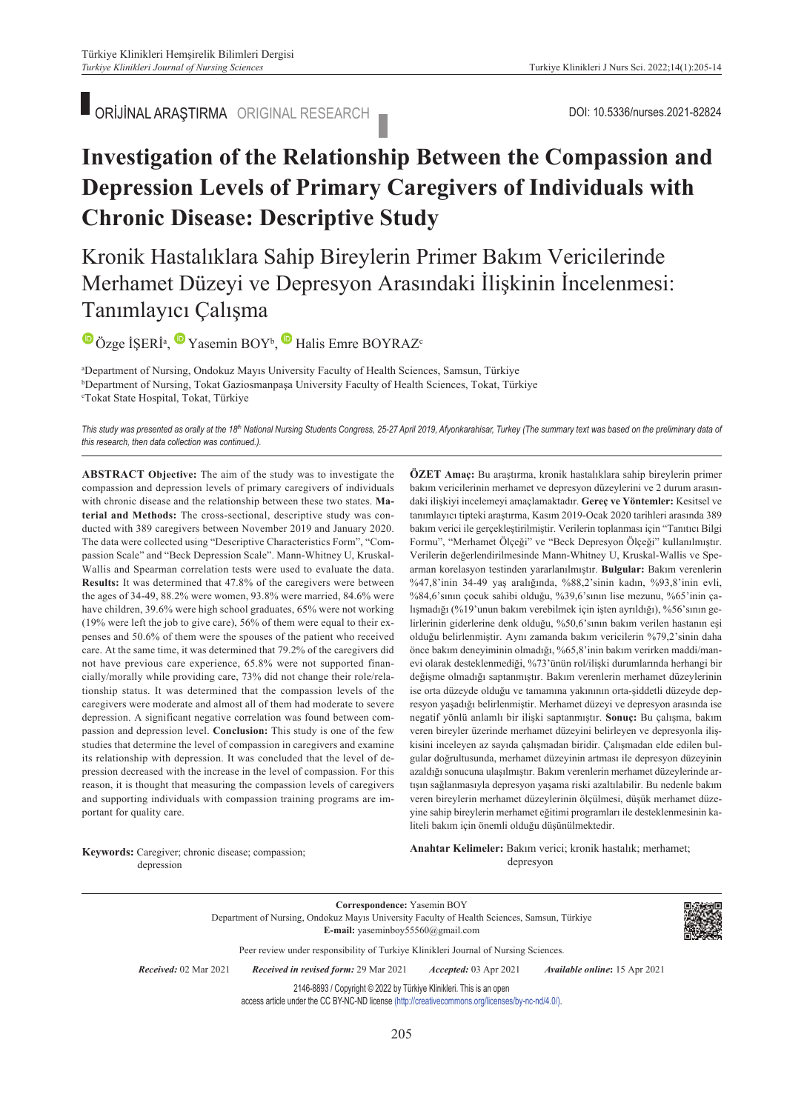ORİJİNAL ARAŞTIRMA ORIGINAL RESEARCH DOI: 10.5336/nurses.2021-82824

## **Investigation of the Relationship Between the Compassion and Depression Levels of Primary Caregivers of Individuals with Chronic Disease: Descriptive Study**

Kronik Hastalıklara Sahip Bireylerin Primer Bakım Vericilerinde Merhamet Düzeyi ve Depresyon Arasındaki İlişkinin İncelenmesi: Tanımlayıcı Çalışma

OzgeİŞERİ<sup>a</sup>, Yasemin BOY<sup>b</sup>, Halis Emre BOYRAZ<sup>c</sup>

a Department of Nursing, Ondokuz Mayıs University Faculty of Health Sciences, Samsun, Türkiye b<br>PDepartment of Nursing, Tokat Gaziosmannasa University Faculty of Health Sciences, Tokat, Türk <sup>b</sup>Department of Nursing, Tokat Gaziosmanpaşa University Faculty of Health Sciences, Tokat, Türkiye Tokat State Hospital, Tokat, Türkiye

This study was presented as orally at the 18th National Nursing Students Congress, 25-27 April 2019, Afyonkarahisar, Turkey (The summary text was based on the preliminary data of *this research, then data collection was continued.).*

**ABS TRACT Objective:** The aim of the study was to investigate the compassion and depression levels of primary caregivers of individuals with chronic disease and the relationship between these two states. **Material and Methods:** The cross-sectional, descriptive study was conducted with 389 caregivers between November 2019 and January 2020. The data were collected using "Descriptive Characteristics Form", "Compassion Scale" and "Beck Depression Scale". Mann-Whitney U, Kruskal-Wallis and Spearman correlation tests were used to evaluate the data. **Results:** It was determined that 47.8% of the caregivers were between the ages of 34-49, 88.2% were women, 93.8% were married, 84.6% were have children, 39.6% were high school graduates, 65% were not working (19% were left the job to give care), 56% of them were equal to their expenses and 50.6% of them were the spouses of the patient who received care. At the same time, it was determined that 79.2% of the caregivers did not have previous care experience, 65.8% were not supported financially/morally while providing care, 73% did not change their role/relationship status. It was determined that the compassion levels of the caregivers were moderate and almost all of them had moderate to severe depression. A significant negative correlation was found between compassion and depression level. **Conclusion:** This study is one of the few studies that determine the level of compassion in caregivers and examine its relationship with depression. It was concluded that the level of depression decreased with the increase in the level of compassion. For this reason, it is thought that measuring the compassion levels of caregivers and supporting individuals with compassion training programs are important for quality care.

**ÖZET Amaç:** Bu araştırma, kronik hastalıklara sahip bireylerin primer bakım vericilerinin merhamet ve depresyon düzeylerini ve 2 durum arasındaki ilişkiyi incelemeyi amaçlamaktadır. **Gereç ve Yöntemler:** Kesitsel ve tanımlayıcı tipteki araştırma, Kasım 2019-Ocak 2020 tarihleri arasında 389 bakım verici ile gerçekleştirilmiştir. Verilerin toplanması için "Tanıtıcı Bilgi Formu", "Merhamet Ölçeği" ve "Beck Depresyon Ölçeği" kullanılmıştır. Verilerin değerlendirilmesinde Mann-Whitney U, Kruskal-Wallis ve Spearman korelasyon testinden yararlanılmıştır. **Bulgular:** Bakım verenlerin %47,8'inin 34-49 yaş aralığında, %88,2'sinin kadın, %93,8'inin evli, %84,6'sının çocuk sahibi olduğu, %39,6'sının lise mezunu, %65'inin çalışmadığı (%19'unun bakım verebilmek için işten ayrıldığı), %56'sının gelirlerinin giderlerine denk olduğu, %50,6'sının bakım verilen hastanın eşi olduğu belirlenmiştir. Aynı zamanda bakım vericilerin %79,2'sinin daha önce bakım deneyiminin olmadığı, %65,8'inin bakım verirken maddi/manevi olarak desteklenmediği, %73'ünün rol/ilişki durumlarında herhangi bir değişme olmadığı saptanmıştır. Bakım verenlerin merhamet düzeylerinin ise orta düzeyde olduğu ve tamamına yakınının orta-şiddetli düzeyde depresyon yaşadığı belirlenmiştir. Merhamet düzeyi ve depresyon arasında ise negatif yönlü anlamlı bir ilişki saptanmıştır. **Sonuç:** Bu çalışma, bakım veren bireyler üzerinde merhamet düzeyini belirleyen ve depresyonla ilişkisini inceleyen az sayıda çalışmadan biridir. Çalışmadan elde edilen bulgular doğrultusunda, merhamet düzeyinin artması ile depresyon düzeyinin azaldığı sonucuna ulaşılmıştır. Bakım verenlerin merhamet düzeylerinde artışın sağlanmasıyla depresyon yaşama riski azaltılabilir. Bu nedenle bakım veren bireylerin merhamet düzeylerinin ölçülmesi, düşük merhamet düzeyine sahip bireylerin merhamet eğitimi programları ile desteklenmesinin kaliteli bakım için önemli olduğu düşünülmektedir.

**Keywords:** Caregiver; chronic disease; compassion; depression

Anahtar Kelimeler: Bakım verici; kronik hastalık; merhamet; depresyon

**Correspondence:** Yasemin BOY Department of Nursing, Ondokuz Mayıs University Faculty of Health Sciences, Samsun, Türkiye **E-mail:** yaseminboy55560@gmail.com



Peer review under responsibility of Turkiye Klinikleri Journal of Nursing Sciences.

*Re ce i ved:* 02 Mar 2021 *Received in revised form:* 29 Mar 2021 *Ac cep ted:* 03 Apr 2021 *Available online***:** 15 Apr 2021

2146-8893 / Copyright © 2022 by Türkiye Klinikleri. This is an open access article under the CC BY-NC-ND license [\(http://creativecommons.org/licenses/by-nc-nd/4.0/\)](https://creativecommons.org/licenses/by-nc-nd/4.0/).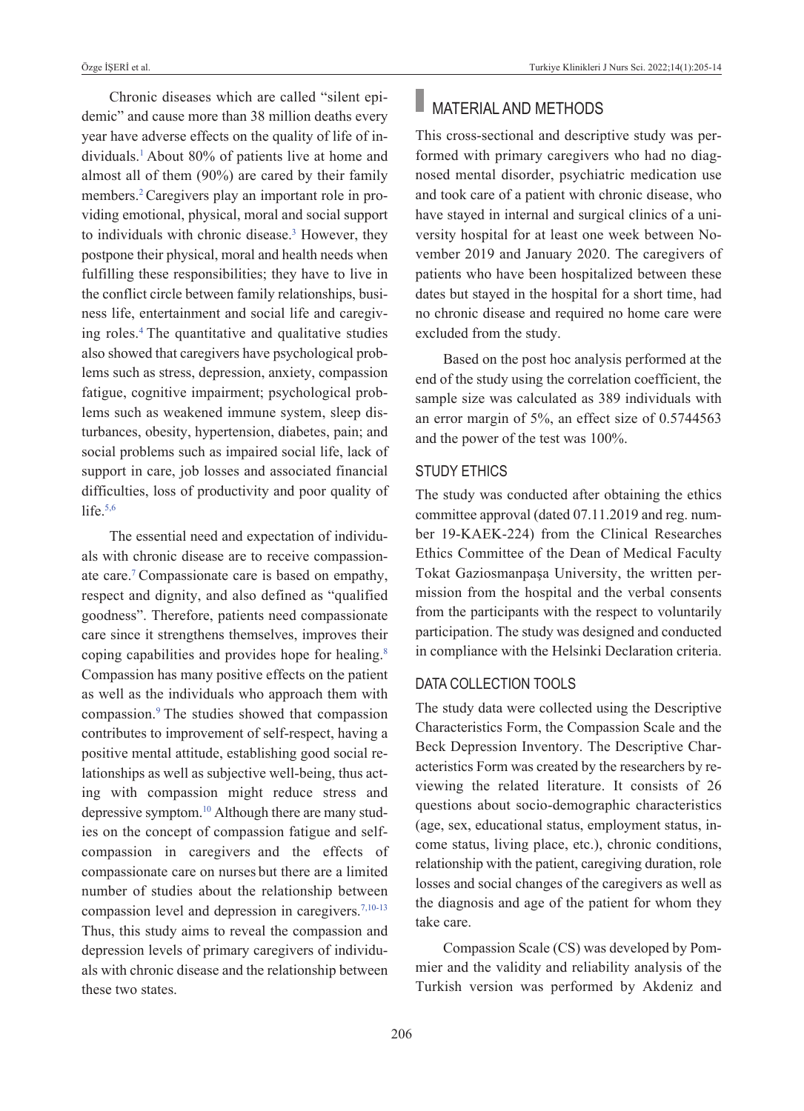Chronic diseases which are called "silent epidemic" and cause more than 38 million deaths every year have adverse effects on the quality of life of individuals[.1](#page-8-0) About 80% of patients live at home and almost all of them (90%) are cared by their family members.<sup>2</sup> Caregivers play an important role in providing emotional, physical, moral and social support to individuals with chronic disease.<sup>3</sup> However, they postpone their physical, moral and health needs when fulfilling these responsibilities; they have to live in the conflict circle between family relationships, business life, entertainment and social life and caregiving roles[.4](#page-8-0) The quantitative and qualitative studies also showed that caregivers have psychological problems such as stress, depression, anxiety, compassion fatigue, cognitive impairment; psychological problems such as weakened immune system, sleep disturbances, obesity, hypertension, diabetes, pain; and social problems such as impaired social life, lack of support in care, job losses and associated financial difficulties, loss of productivity and poor quality of life. $5,6$ 

The essential need and expectation of individuals with chronic disease are to receive compassionate care[.7](#page-8-0) Compassionate care is based on empathy, respect and dignity, and also defined as "qualified goodness". Therefore, patients need compassionate care since it strengthens themselves, improves their coping capabilities and provides hope for healing[.8](#page-8-0)  Compassion has many positive effects on the patient as well as the individuals who approach them with compassion[.9](#page-8-0) The studies showed that compassion contributes to improvement of self-respect, having a positive mental attitude, establishing good social relationships as well as subjective well-being, thus acting with compassion might reduce stress and depressive symptom.<sup>10</sup> Although there are many studies on the concept of compassion fatigue and selfcompassion in caregivers and the effects of compassionate care on nurses but there are a limited number of studies about the relationship between compassion level and depression in caregivers.<sup>7,10-13</sup> Thus, this study aims to reveal the compassion and depression levels of primary caregivers of individuals with chronic disease and the relationship between these two states.

# **MATERIAL AND METHODS**

This cross-sectional and descriptive study was performed with primary caregivers who had no diagnosed mental disorder, psychiatric medication use and took care of a patient with chronic disease, who have stayed in internal and surgical clinics of a university hospital for at least one week between November 2019 and January 2020. The caregivers of patients who have been hospitalized between these dates but stayed in the hospital for a short time, had no chronic disease and required no home care were excluded from the study.

Based on the post hoc analysis performed at the end of the study using the correlation coefficient, the sample size was calculated as 389 individuals with an error margin of 5%, an effect size of 0.5744563 and the power of the test was 100%.

### STuDY ETHICS

The study was conducted after obtaining the ethics committee approval (dated 07.11.2019 and reg. number 19-KAEK-224) from the Clinical Researches Ethics Committee of the Dean of Medical Faculty Tokat Gaziosmanpaşa University, the written permission from the hospital and the verbal consents from the participants with the respect to voluntarily participation. The study was designed and conducted in compliance with the Helsinki Declaration criteria.

### DATA COLLECTION TOOLS

The study data were collected using the Descriptive Characteristics Form, the Compassion Scale and the Beck Depression Inventory. The Descriptive Characteristics Form was created by the researchers by reviewing the related literature. It consists of 26 questions about socio-demographic characteristics (age, sex, educational status, employment status, income status, living place, etc.), chronic conditions, relationship with the patient, caregiving duration, role losses and social changes of the caregivers as well as the diagnosis and age of the patient for whom they take care.

Compassion Scale (CS) was developed by Pommier and the validity and reliability analysis of the Turkish version was performed by Akdeniz and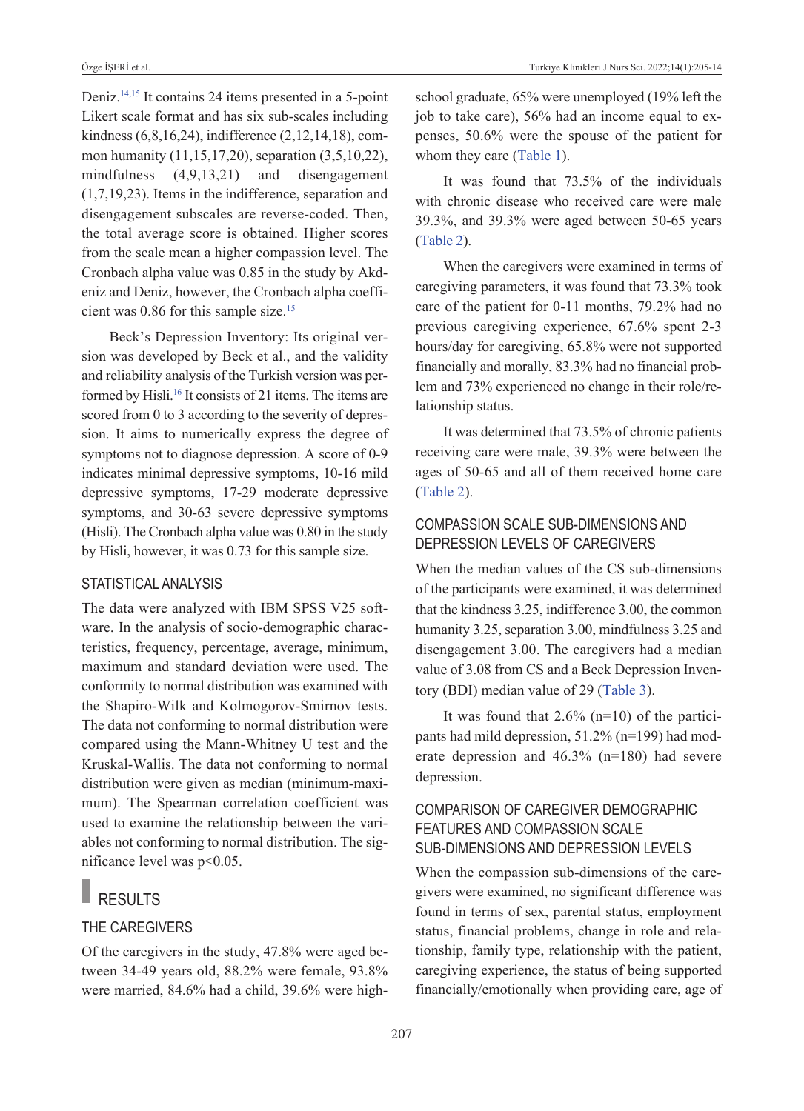Deniz[.14,15](#page-8-0) It contains 24 items presented in a 5-point Likert scale format and has six sub-scales including kindness (6,8,16,24), indifference (2,12,14,18), common humanity (11,15,17,20), separation (3,5,10,22), mindfulness (4,9,13,21) and disengagement (1,7,19,23). Items in the indifference, separation and disengagement subscales are reverse-coded. Then, the total average score is obtained. Higher scores from the scale mean a higher compassion level. The Cronbach alpha value was 0.85 in the study by Akdeniz and Deniz, however, the Cronbach alpha coefficient was 0.86 for this sample size.<sup>15</sup>

Beck's Depression Inventory: Its original version was developed by Beck et al., and the validity and reliability analysis of the Turkish version was performed by Hisli[.16](#page-8-0) It consists of 21 items. The items are scored from 0 to 3 according to the severity of depression. It aims to numerically express the degree of symptoms not to diagnose depression. A score of 0-9 indicates minimal depressive symptoms, 10-16 mild depressive symptoms, 17-29 moderate depressive symptoms, and 30-63 severe depressive symptoms (Hisli). The Cronbach alpha value was 0.80 in the study by Hisli, however, it was 0.73 for this sample size.

#### STATISTICAL ANALYSIS

The data were analyzed with IBM SPSS V25 software. In the analysis of socio-demographic characteristics, frequency, percentage, average, minimum, maximum and standard deviation were used. The conformity to normal distribution was examined with the Shapiro-Wilk and Kolmogorov-Smirnov tests. The data not conforming to normal distribution were compared using the Mann-Whitney U test and the Kruskal-Wallis. The data not conforming to normal distribution were given as median (minimum-maximum). The Spearman correlation coefficient was used to examine the relationship between the variables not conforming to normal distribution. The significance level was p<0.05.

## RESULTS

#### THE CAREGIvERS

Of the caregivers in the study, 47.8% were aged between 34-49 years old, 88.2% were female, 93.8% were married, 84.6% had a child, 39.6% were highschool graduate, 65% were unemployed (19% left the job to take care), 56% had an income equal to expenses, 50.6% were the spouse of the patient for whom they care [\(Table 1\)](#page-3-0).

It was found that 73.5% of the individuals with chronic disease who received care were male 39.3%, and 39.3% were aged between 50-65 years [\(Table 2\)](#page-4-0).

When the caregivers were examined in terms of caregiving parameters, it was found that 73.3% took care of the patient for 0-11 months, 79.2% had no previous caregiving experience, 67.6% spent 2-3 hours/day for caregiving, 65.8% were not supported financially and morally, 83.3% had no financial problem and 73% experienced no change in their role/relationship status.

It was determined that 73.5% of chronic patients receiving care were male, 39.3% were between the ages of 50-65 and all of them received home care [\(Table 2\)](#page-4-0).

### COMpASSION SCALE SuB-DIMENSIONS AND DEpRESSION LEvELS Of CAREGIvERS

When the median values of the CS sub-dimensions of the participants were examined, it was determined that the kindness 3.25, indifference 3.00, the common humanity 3.25, separation 3.00, mindfulness 3.25 and disengagement 3.00. The caregivers had a median value of 3.08 from CS and a Beck Depression Inventory (BDI) median value of 29 [\(Table 3\)](#page-5-0).

It was found that  $2.6\%$  (n=10) of the participants had mild depression, 51.2% (n=199) had moderate depression and 46.3% (n=180) had severe depression.

### COMpARISON Of CAREGIvER DEMOGRApHIC fEATuRES AND COMpASSION SCALE SuB-DIMENSIONS AND DEpRESSION LEvELS

When the compassion sub-dimensions of the caregivers were examined, no significant difference was found in terms of sex, parental status, employment status, financial problems, change in role and relationship, family type, relationship with the patient, caregiving experience, the status of being supported financially/emotionally when providing care, age of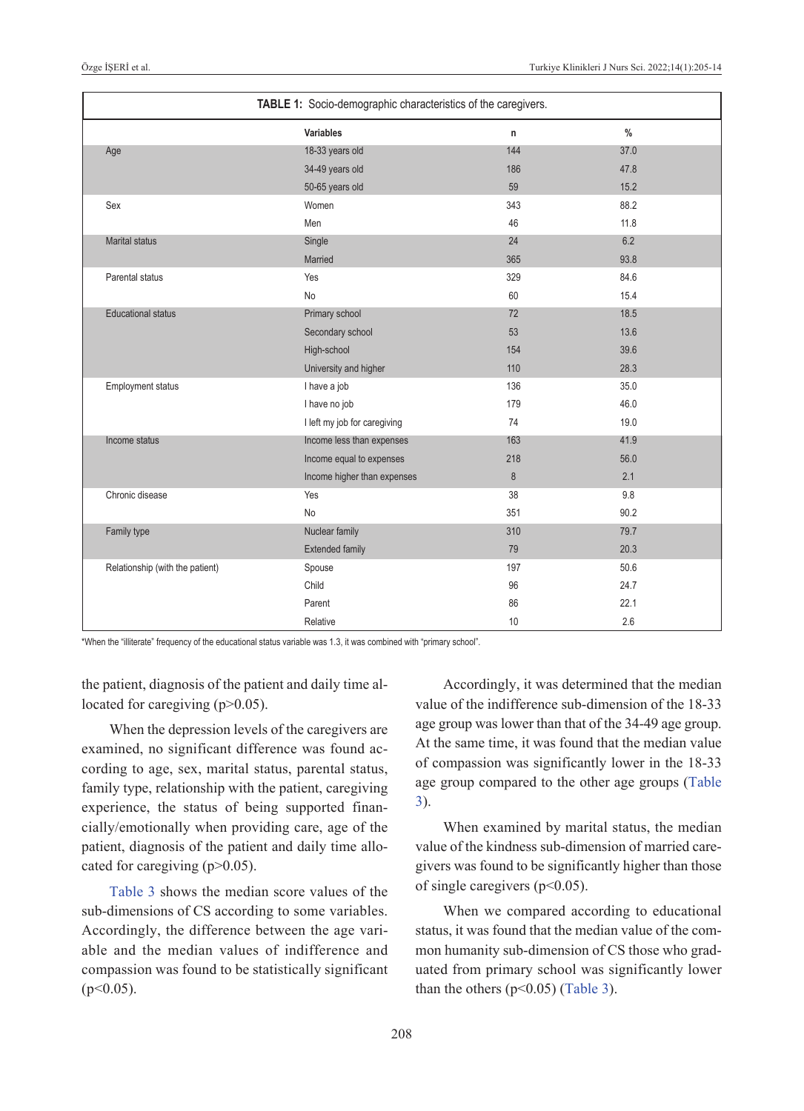| TABLE 1: Socio-demographic characteristics of the caregivers. |                              |         |               |
|---------------------------------------------------------------|------------------------------|---------|---------------|
|                                                               | Variables                    | n       | $\frac{0}{0}$ |
| Age                                                           | 18-33 years old              | 144     | 37.0          |
|                                                               | 34-49 years old              | 186     | 47.8          |
|                                                               | 50-65 years old              | 59      | 15.2          |
| Sex                                                           | Women                        | 343     | 88.2          |
|                                                               | Men                          | 46      | 11.8          |
| <b>Marital status</b>                                         | Single                       | 24      | 6.2           |
|                                                               | Married                      | 365     | 93.8          |
| Parental status                                               | Yes                          | 329     | 84.6          |
|                                                               | No                           | 60      | 15.4          |
| <b>Educational status</b>                                     | Primary school               | 72      | 18.5          |
|                                                               | Secondary school             | 53      | 13.6          |
|                                                               | High-school                  | 154     | 39.6          |
|                                                               | University and higher        | 110     | 28.3          |
| Employment status                                             | I have a job                 | 136     | 35.0          |
|                                                               | I have no job                | 179     | 46.0          |
|                                                               | I left my job for caregiving | 74      | 19.0          |
| Income status                                                 | Income less than expenses    | 163     | 41.9          |
|                                                               | Income equal to expenses     | 218     | 56.0          |
|                                                               | Income higher than expenses  | $\bf 8$ | 2.1           |
| Chronic disease                                               | Yes                          | 38      | 9.8           |
|                                                               | No                           | 351     | 90.2          |
| Family type                                                   | Nuclear family               | 310     | 79.7          |
|                                                               | <b>Extended family</b>       | 79      | 20.3          |
| Relationship (with the patient)                               | Spouse                       | 197     | 50.6          |
|                                                               | Child                        | 96      | 24.7          |
|                                                               | Parent                       | 86      | 22.1          |
|                                                               | Relative                     | 10      | 2.6           |

\*When the "illiterate" frequency of the educational status variable was 1.3, it was combined with "primary school".

the patient, diagnosis of the patient and daily time allocated for caregiving (p>0.05).

When the depression levels of the caregivers are examined, no significant difference was found according to age, sex, marital status, parental status, family type, relationship with the patient, caregiving experience, the status of being supported financially/emotionally when providing care, age of the patient, diagnosis of the patient and daily time allocated for caregiving  $(p>0.05)$ .

[Table 3](#page-5-0) shows the median score values of the sub-dimensions of CS according to some variables. Accordingly, the difference between the age variable and the median values of indifference and compassion was found to be statistically significant  $(p<0.05)$ .

<span id="page-3-0"></span>Accordingly, it was determined that the median value of the indifference sub-dimension of the 18-33 age group was lower than that of the 34-49 age group. At the same time, it was found that the median value of compassion was significantly lower in the 18-33 age group compared to the other age groups [\(Table](#page-5-0)  [3\)](#page-5-0).

When examined by marital status, the median value of the kindness sub-dimension of married caregivers was found to be significantly higher than those of single caregivers ( $p<0.05$ ).

When we compared according to educational status, it was found that the median value of the common humanity sub-dimension of CS those who graduated from primary school was significantly lower than the others  $(p<0.05)$  [\(Table 3\)](#page-5-0).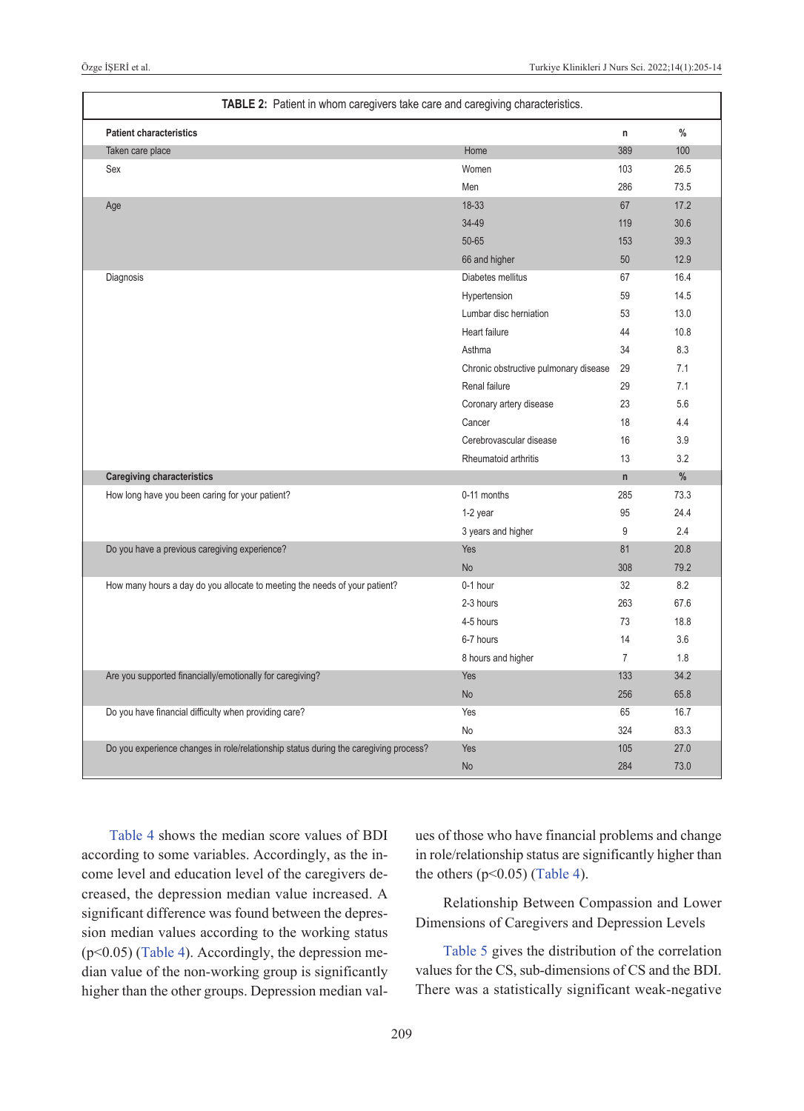| TABLE 2: Patient in whom caregivers take care and caregiving characteristics.        |                                       |                |               |  |  |
|--------------------------------------------------------------------------------------|---------------------------------------|----------------|---------------|--|--|
| <b>Patient characteristics</b>                                                       |                                       | n              | $\frac{0}{0}$ |  |  |
| Taken care place                                                                     | Home                                  | 389            | 100           |  |  |
| Sex                                                                                  | Women                                 | 103            | 26.5          |  |  |
|                                                                                      | Men                                   | 286            | 73.5          |  |  |
| Age                                                                                  | 18-33                                 | 67             | 17.2          |  |  |
|                                                                                      | 34-49                                 | 119            | 30.6          |  |  |
|                                                                                      | 50-65                                 | 153            | 39.3          |  |  |
|                                                                                      | 66 and higher                         | 50             | 12.9          |  |  |
| Diagnosis                                                                            | Diabetes mellitus                     | 67             | 16.4          |  |  |
|                                                                                      | Hypertension                          | 59             | 14.5          |  |  |
|                                                                                      | Lumbar disc herniation                | 53             | 13.0          |  |  |
|                                                                                      | Heart failure                         | 44             | 10.8          |  |  |
|                                                                                      | Asthma                                | 34             | 8.3           |  |  |
|                                                                                      | Chronic obstructive pulmonary disease | 29             | 7.1           |  |  |
|                                                                                      | Renal failure                         | 29             | 7.1           |  |  |
|                                                                                      | Coronary artery disease               | 23             | 5.6           |  |  |
|                                                                                      | Cancer                                | 18             | 4.4           |  |  |
|                                                                                      | Cerebrovascular disease               | 16             | 3.9           |  |  |
|                                                                                      | Rheumatoid arthritis                  | 13             | 3.2           |  |  |
| <b>Caregiving characteristics</b>                                                    |                                       | $\mathsf{n}$   | %             |  |  |
| How long have you been caring for your patient?                                      | 0-11 months                           | 285            | 73.3          |  |  |
|                                                                                      | 1-2 year                              | 95             | 24.4          |  |  |
|                                                                                      | 3 years and higher                    | 9              | 2.4           |  |  |
| Do you have a previous caregiving experience?                                        | Yes                                   | 81             | 20.8          |  |  |
|                                                                                      | <b>No</b>                             | 308            | 79.2          |  |  |
| How many hours a day do you allocate to meeting the needs of your patient?           | 0-1 hour                              | 32             | 8.2           |  |  |
|                                                                                      | 2-3 hours                             | 263            | 67.6          |  |  |
|                                                                                      | 4-5 hours                             | 73             | 18.8          |  |  |
|                                                                                      | 6-7 hours                             | 14             | 3.6           |  |  |
|                                                                                      | 8 hours and higher                    | $\overline{7}$ | 1.8           |  |  |
| Are you supported financially/emotionally for caregiving?                            | Yes                                   | 133            | 34.2          |  |  |
|                                                                                      | No                                    | 256            | 65.8          |  |  |
| Do you have financial difficulty when providing care?                                | Yes                                   | 65             | 16.7          |  |  |
|                                                                                      | No                                    | 324            | 83.3          |  |  |
| Do you experience changes in role/relationship status during the caregiving process? | Yes                                   | 105            | 27.0          |  |  |
|                                                                                      | <b>No</b>                             | 284            | 73.0          |  |  |

[Table 4](#page-6-0) shows the median score values of BDI according to some variables. Accordingly, as the income level and education level of the caregivers decreased, the depression median value increased. A significant difference was found between the depression median values according to the working status (p<0.05) [\(Table 4\)](#page-6-0). Accordingly, the depression median value of the non-working group is significantly higher than the other groups. Depression median val<span id="page-4-0"></span>ues of those who have financial problems and change in role/relationship status are significantly higher than the others  $(p<0.05)$  [\(Table 4\)](#page-6-0).

Relationship Between Compassion and Lower Dimensions of Caregivers and Depression Levels

[Table 5](#page-6-1) gives the distribution of the correlation values for the CS, sub-dimensions of CS and the BDI. There was a statistically significant weak-negative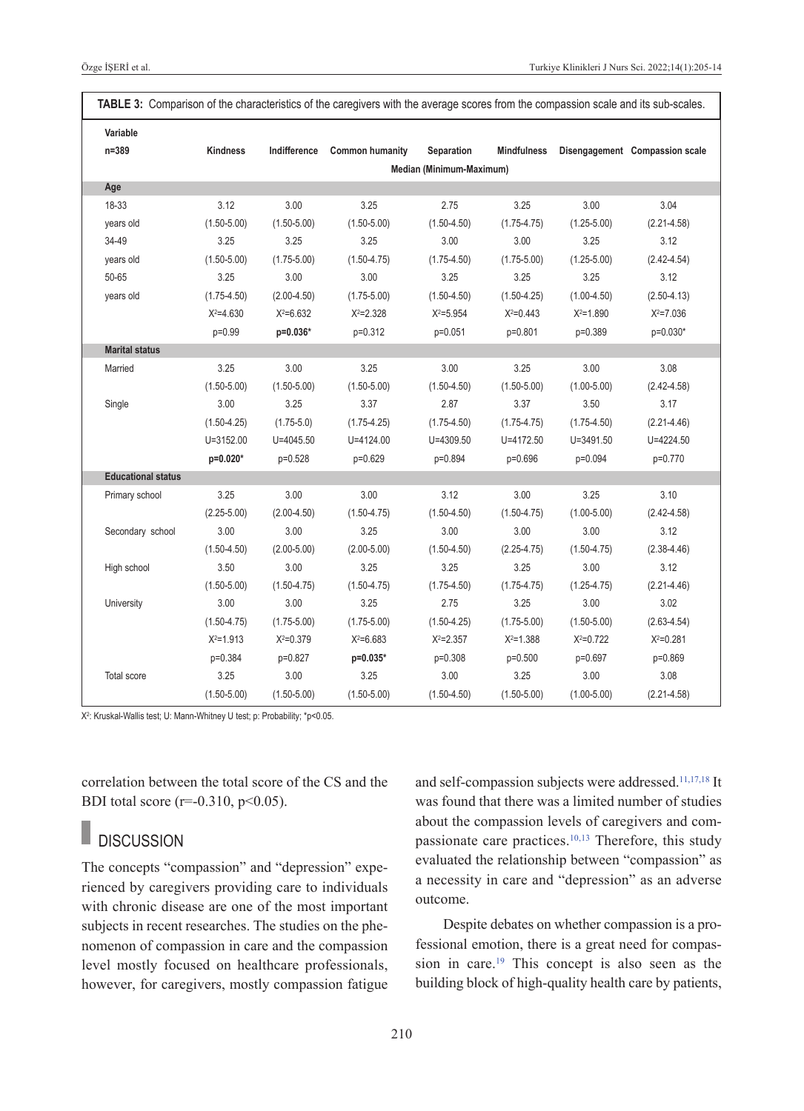| Variable                  |                 |                 |                        |                          |                    |                 |                                |
|---------------------------|-----------------|-----------------|------------------------|--------------------------|--------------------|-----------------|--------------------------------|
| n=389                     | <b>Kindness</b> | Indifference    | <b>Common humanity</b> | <b>Separation</b>        | <b>Mindfulness</b> |                 | Disengagement Compassion scale |
|                           |                 |                 |                        | Median (Minimum-Maximum) |                    |                 |                                |
| Age                       |                 |                 |                        |                          |                    |                 |                                |
| 18-33                     | 3.12            | 3.00            | 3.25                   | 2.75                     | 3.25               | 3.00            | 3.04                           |
| years old                 | $(1.50 - 5.00)$ | $(1.50 - 5.00)$ | $(1.50 - 5.00)$        | $(1.50 - 4.50)$          | $(1.75 - 4.75)$    | $(1.25 - 5.00)$ | $(2.21 - 4.58)$                |
| 34-49                     | 3.25            | 3.25            | 3.25                   | 3.00                     | 3.00               | 3.25            | 3.12                           |
| years old                 | $(1.50 - 5.00)$ | $(1.75 - 5.00)$ | $(1.50 - 4.75)$        | $(1.75 - 4.50)$          | $(1.75 - 5.00)$    | $(1.25 - 5.00)$ | $(2.42 - 4.54)$                |
| 50-65                     | 3.25            | 3.00            | 3.00                   | 3.25                     | 3.25               | 3.25            | 3.12                           |
| years old                 | $(1.75 - 4.50)$ | $(2.00-4.50)$   | $(1.75 - 5.00)$        | $(1.50 - 4.50)$          | $(1.50 - 4.25)$    | $(1.00-4.50)$   | $(2.50 - 4.13)$                |
|                           | $X^2 = 4.630$   | $X^2 = 6.632$   | $X^2 = 2.328$          | $X^2 = 5.954$            | $X^2 = 0.443$      | $X^2 = 1.890$   | $X^2 = 7.036$                  |
|                           | p=0.99          | p=0.036*        | p=0.312                | p=0.051                  | p=0.801            | p=0.389         | p=0.030*                       |
| <b>Marital status</b>     |                 |                 |                        |                          |                    |                 |                                |
| Married                   | 3.25            | 3.00            | 3.25                   | 3.00                     | 3.25               | 3.00            | 3.08                           |
|                           | $(1.50 - 5.00)$ | $(1.50 - 5.00)$ | $(1.50 - 5.00)$        | $(1.50 - 4.50)$          | $(1.50 - 5.00)$    | $(1.00 - 5.00)$ | $(2.42 - 4.58)$                |
| Single                    | 3.00            | 3.25            | 3.37                   | 2.87                     | 3.37               | 3.50            | 3.17                           |
|                           | $(1.50 - 4.25)$ | $(1.75-5.0)$    | $(1.75 - 4.25)$        | $(1.75 - 4.50)$          | $(1.75 - 4.75)$    | $(1.75 - 4.50)$ | $(2.21 - 4.46)$                |
|                           | $U = 3152.00$   | $U = 4045.50$   | $U = 4124.00$          | $U = 4309.50$            | $U = 4172.50$      | $U = 3491.50$   | $U = 4224.50$                  |
|                           | $p=0.020*$      | p=0.528         | p=0.629                | p=0.894                  | p=0.696            | p=0.094         | p=0.770                        |
| <b>Educational status</b> |                 |                 |                        |                          |                    |                 |                                |
| Primary school            | 3.25            | 3.00            | 3.00                   | 3.12                     | 3.00               | 3.25            | 3.10                           |
|                           | $(2.25 - 5.00)$ | $(2.00-4.50)$   | $(1.50 - 4.75)$        | $(1.50 - 4.50)$          | $(1.50 - 4.75)$    | $(1.00 - 5.00)$ | $(2.42 - 4.58)$                |
| Secondary school          | 3.00            | 3.00            | 3.25                   | 3.00                     | 3.00               | 3.00            | 3.12                           |
|                           | $(1.50 - 4.50)$ | $(2.00 - 5.00)$ | $(2.00 - 5.00)$        | $(1.50 - 4.50)$          | $(2.25 - 4.75)$    | $(1.50 - 4.75)$ | $(2.38 - 4.46)$                |
| High school               | 3.50            | 3.00            | 3.25                   | 3.25                     | 3.25               | 3.00            | 3.12                           |
|                           | $(1.50 - 5.00)$ | $(1.50 - 4.75)$ | $(1.50 - 4.75)$        | $(1.75 - 4.50)$          | $(1.75 - 4.75)$    | $(1.25 - 4.75)$ | $(2.21 - 4.46)$                |
| University                | 3.00            | 3.00            | 3.25                   | 2.75                     | 3.25               | 3.00            | 3.02                           |
|                           | $(1.50 - 4.75)$ | $(1.75 - 5.00)$ | $(1.75 - 5.00)$        | $(1.50 - 4.25)$          | $(1.75 - 5.00)$    | $(1.50 - 5.00)$ | $(2.63 - 4.54)$                |
|                           | $X^2 = 1.913$   | $X^2 = 0.379$   | $X^2 = 6.683$          | $X^2 = 2.357$            | $X^2 = 1.388$      | $X^2 = 0.722$   | $X^2 = 0.281$                  |
|                           | p=0.384         | p=0.827         | p=0.035*               | p=0.308                  | p=0.500            | p=0.697         | p=0.869                        |
| <b>Total score</b>        | 3.25            | 3.00            | 3.25                   | 3.00                     | 3.25               | 3.00            | 3.08                           |
|                           | $(1.50 - 5.00)$ | $(1.50 - 5.00)$ | $(1.50 - 5.00)$        | $(1.50 - 4.50)$          | $(1.50 - 5.00)$    | $(1.00 - 5.00)$ | $(2.21 - 4.58)$                |

<span id="page-5-0"></span>**TABLE 3:** Comparison of the characteristics of the caregivers with the average scores from the compassion scale and its sub-scales.

X<sup>2</sup>: Kruskal-Wallis test; U: Mann-Whitney U test; p: Probability; \*p<0.05.

correlation between the total score of the CS and the BDI total score ( $r=0.310$ ,  $p<0.05$ ).

#### **DISCUSSION**

The concepts "compassion" and "depression" experienced by caregivers providing care to individuals with chronic disease are one of the most important subjects in recent researches. The studies on the phenomenon of compassion in care and the compassion level mostly focused on healthcare professionals, however, for caregivers, mostly compassion fatigue and self-compassion subjects were addressed.<sup>11,17,18</sup> It was found that there was a limited number of studies about the compassion levels of caregivers and compassionate care practices[.10,13](#page-8-0) Therefore, this study evaluated the relationship between "compassion" as a necessity in care and "depression" as an adverse outcome.

Despite debates on whether compassion is a professional emotion, there is a great need for compassion in care[.19](#page-8-0) This concept is also seen as the building block of high-quality health care by patients,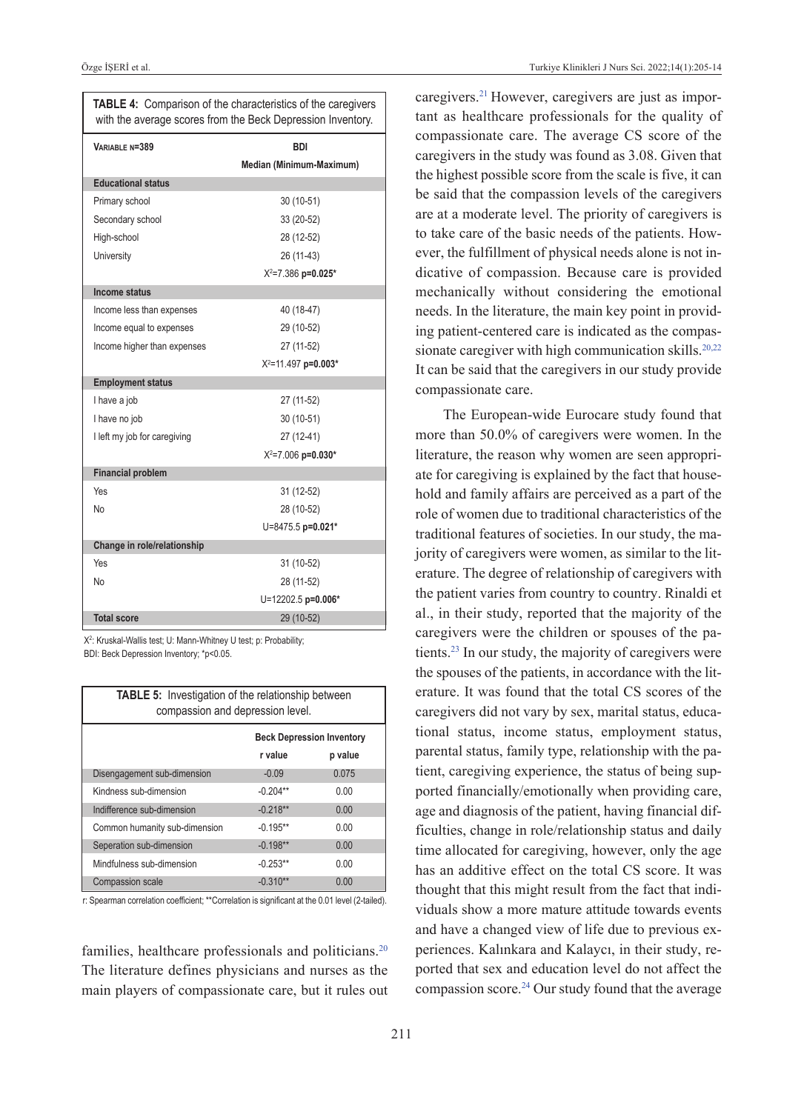| <b>TABLE 4:</b> Comparison of the characteristics of the caregivers<br>with the average scores from the Beck Depression Inventory. |                                |  |  |
|------------------------------------------------------------------------------------------------------------------------------------|--------------------------------|--|--|
| VARIABLE N=389                                                                                                                     | <b>BDI</b>                     |  |  |
|                                                                                                                                    | Median (Minimum-Maximum)       |  |  |
| <b>Educational status</b>                                                                                                          |                                |  |  |
| Primary school                                                                                                                     | 30 (10-51)                     |  |  |
| Secondary school                                                                                                                   | 33 (20-52)                     |  |  |
| High-school                                                                                                                        | 28 (12-52)                     |  |  |
| University                                                                                                                         | 26 (11-43)                     |  |  |
|                                                                                                                                    | X <sup>2</sup> =7.386 p=0.025* |  |  |
| Income status                                                                                                                      |                                |  |  |
| Income less than expenses                                                                                                          | 40 (18-47)                     |  |  |
| Income equal to expenses                                                                                                           | 29 (10-52)                     |  |  |
| Income higher than expenses                                                                                                        | 27 (11-52)                     |  |  |
|                                                                                                                                    | $X^2 = 11.497$ p=0.003*        |  |  |
| <b>Employment status</b>                                                                                                           |                                |  |  |
| I have a job                                                                                                                       | 27 (11-52)                     |  |  |
| I have no job                                                                                                                      | 30 (10-51)                     |  |  |
| I left my job for caregiving                                                                                                       | 27 (12-41)                     |  |  |
|                                                                                                                                    | $X^2 = 7.006$ p=0.030*         |  |  |
| <b>Financial problem</b>                                                                                                           |                                |  |  |
| Yes                                                                                                                                | 31 (12-52)                     |  |  |
| No                                                                                                                                 | 28 (10-52)                     |  |  |
|                                                                                                                                    | U=8475.5 p=0.021*              |  |  |
| Change in role/relationship                                                                                                        |                                |  |  |
| Yes                                                                                                                                | 31 (10-52)                     |  |  |
| No                                                                                                                                 | 28 (11-52)                     |  |  |
|                                                                                                                                    | U=12202.5 p=0.006*             |  |  |
| <b>Total score</b>                                                                                                                 | 29 (10-52)                     |  |  |

X<sup>2</sup>: Kruskal-Wallis test; U: Mann-Whitney U test; p: Probability; BDI: Beck Depression Inventory; \*p<0.05.

| <b>TABLE 5:</b> Investigation of the relationship between<br>compassion and depression level. |                                  |         |  |  |
|-----------------------------------------------------------------------------------------------|----------------------------------|---------|--|--|
|                                                                                               | <b>Beck Depression Inventory</b> |         |  |  |
|                                                                                               | r value                          | p value |  |  |
| Disengagement sub-dimension                                                                   | $-0.09$                          | 0.075   |  |  |
| Kindness sub-dimension                                                                        | $-0.204**$                       | 0.00    |  |  |
| Indifference sub-dimension                                                                    | $-0.218**$                       | 0.00    |  |  |
| Common humanity sub-dimension                                                                 | $-0.195**$                       | 0.00    |  |  |
| Seperation sub-dimension                                                                      | $-0.198**$                       | 0.00    |  |  |
| Mindfulness sub-dimension                                                                     | $-0.253**$                       | 0.00    |  |  |
| <b>Compassion scale</b>                                                                       | $-0.310**$                       | 0.00    |  |  |

r: Spearman correlation coefficient; \*\*Correlation is significant at the 0.01 level (2-tailed).

families, healthcare professionals and politicians.<sup>20</sup> The literature defines physicians and nurses as the main players of compassionate care, but it rules out <span id="page-6-0"></span>caregivers[.21](#page-8-0) However, caregivers are just as important as healthcare professionals for the quality of compassionate care. The average CS score of the caregivers in the study was found as 3.08. Given that the highest possible score from the scale is five, it can be said that the compassion levels of the caregivers are at a moderate level. The priority of caregivers is to take care of the basic needs of the patients. However, the fulfillment of physical needs alone is not indicative of compassion. Because care is provided mechanically without considering the emotional needs. In the literature, the main key point in providing patient-centered care is indicated as the compassionate caregiver with high communication skills.<sup>20,22</sup> It can be said that the caregivers in our study provide compassionate care.

<span id="page-6-1"></span>The European-wide Eurocare study found that more than 50.0% of caregivers were women. In the literature, the reason why women are seen appropriate for caregiving is explained by the fact that household and family affairs are perceived as a part of the role of women due to traditional characteristics of the traditional features of societies. In our study, the majority of caregivers were women, as similar to the literature. The degree of relationship of caregivers with the patient varies from country to country. Rinaldi et al., in their study, reported that the majority of the caregivers were the children or spouses of the patients[.23](#page-8-0) In our study, the majority of caregivers were the spouses of the patients, in accordance with the literature. It was found that the total CS scores of the caregivers did not vary by sex, marital status, educational status, income status, employment status, parental status, family type, relationship with the patient, caregiving experience, the status of being supported financially/emotionally when providing care, age and diagnosis of the patient, having financial difficulties, change in role/relationship status and daily time allocated for caregiving, however, only the age has an additive effect on the total CS score. It was thought that this might result from the fact that individuals show a more mature attitude towards events and have a changed view of life due to previous experiences. Kalınkara and Kalaycı, in their study, reported that sex and education level do not affect the compassion score. $24$  Our study found that the average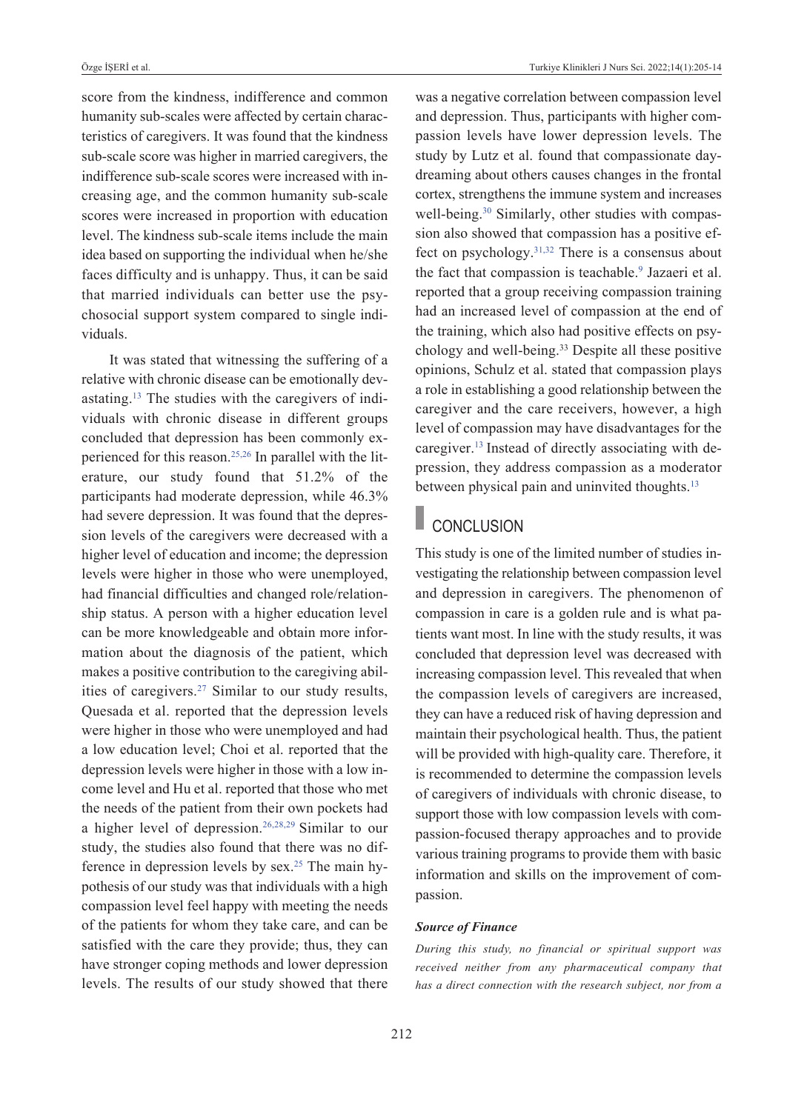score from the kindness, indifference and common humanity sub-scales were affected by certain characteristics of caregivers. It was found that the kindness sub-scale score was higher in married caregivers, the indifference sub-scale scores were increased with increasing age, and the common humanity sub-scale scores were increased in proportion with education level. The kindness sub-scale items include the main idea based on supporting the individual when he/she faces difficulty and is unhappy. Thus, it can be said that married individuals can better use the psychosocial support system compared to single individuals.

It was stated that witnessing the suffering of a relative with chronic disease can be emotionally devastating[.13](#page-8-0) The studies with the caregivers of individuals with chronic disease in different groups concluded that depression has been commonly experienced for this reason[.25,26](#page-8-0) In parallel with the literature, our study found that 51.2% of the participants had moderate depression, while 46.3% had severe depression. It was found that the depression levels of the caregivers were decreased with a higher level of education and income; the depression levels were higher in those who were unemployed, had financial difficulties and changed role/relationship status. A person with a higher education level can be more knowledgeable and obtain more information about the diagnosis of the patient, which makes a positive contribution to the caregiving abil-ities of caregivers.<sup>27</sup> [S](#page-8-0)imilar to our study results, Quesada et al. reported that the depression levels were higher in those who were unemployed and had a low education level; Choi et al. reported that the depression levels were higher in those with a low income level and Hu et al. reported that those who met the needs of the patient from their own pockets had a higher level of depression[.26,28,29](#page-8-0) Similar to our study, the studies also found that there was no difference in depression levels by sex.<sup>25</sup> The main hypothesis of our study was that individuals with a high compassion level feel happy with meeting the needs of the patients for whom they take care, and can be satisfied with the care they provide; thus, they can have stronger coping methods and lower depression levels. The results of our study showed that there was a negative correlation between compassion level and depression. Thus, participants with higher compassion levels have lower depression levels. The study by Lutz et al. found that compassionate daydreaming about others causes changes in the frontal cortex, strengthens the immune system and increases well-being.<sup>30</sup> Similarly, other studies with compassion also showed that compassion has a positive effect on psychology. $31,32$  There is a consensus about the fact that compassion is teachable.<sup>9</sup> Jazaeri et al. reported that a group receiving compassion training had an increased level of compassion at the end of the training, which also had positive effects on psychology and well-being.33 Despite all these positive opinions, Schulz et al. stated that compassion plays a role in establishing a good relationship between the caregiver and the care receivers, however, a high level of compassion may have disadvantages for the caregiver[.13](#page-8-0) Instead of directly associating with depression, they address compassion as a moderator between physical pain and uninvited thoughts.<sup>13</sup>

## CONCLUSION

This study is one of the limited number of studies investigating the relationship between compassion level and depression in caregivers. The phenomenon of compassion in care is a golden rule and is what patients want most. In line with the study results, it was concluded that depression level was decreased with increasing compassion level. This revealed that when the compassion levels of caregivers are increased, they can have a reduced risk of having depression and maintain their psychological health. Thus, the patient will be provided with high-quality care. Therefore, it is recommended to determine the compassion levels of caregivers of individuals with chronic disease, to support those with low compassion levels with compassion-focused therapy approaches and to provide various training programs to provide them with basic information and skills on the improvement of compassion.

#### *Source of Finance*

*During this study, no financial or spiritual support was received neither from any pharmaceutical company that has a direct connection with the research subject, nor from a*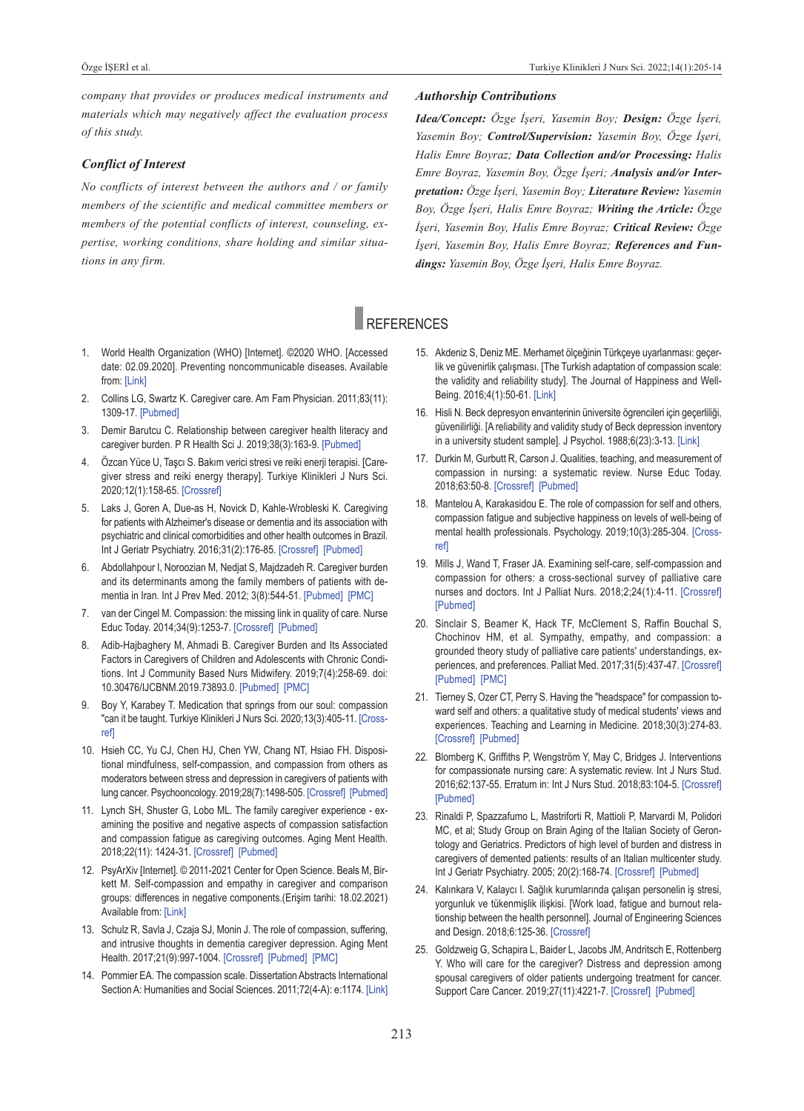*company that provides or produces medical instruments and materials which may negatively affect the evaluation process of this study.* 

#### *Conflict of Interest*

*No conflicts of interest between the authors and / or family members of the scientific and medical committee members or members of the potential conflicts of interest, counseling, expertise, working conditions, share holding and similar situations in any firm.* 

#### *Authorship Contributions*

*Idea/Concept: Özge İşeri, Yasemin Boy; Design: Özge İşeri, Yasemin Boy; Control/Supervision: Yasemin Boy, Özge İşeri, Halis Emre Boyraz; Data Collection and/or Processing: Halis Emre Boyraz, Yasemin Boy, Özge İşeri; Analysis and/or Interpretation: Özge İşeri, Yasemin Boy; Literature Review: Yasemin Boy, Özge İşeri, Halis Emre Boyraz; Writing the Article: Özge İşeri, Yasemin Boy, Halis Emre Boyraz; Critical Review: Özge İşeri, Yasemin Boy, Halis Emre Boyraz; References and Fundings: Yasemin Boy, Özge İşeri, Halis Emre Boyraz.* 

## **REFERENCES**

- 1. World Health Organization (WHO) [Internet]. ©2020 WHO. [Accessed date: 02.09.2020]. Preventing noncommunicable diseases. Available from: [\[Link\]](https://www.who.int/activities/preventing-noncommunicable-diseases/)
- 2. Collins LG, Swartz K. Caregiver care. Am fam physician. 2011;83(11): 1309-17. [\[pubmed\]](https://pubmed.ncbi.nlm.nih.gov/21661713/)
- 3. Demir Barutcu C. Relationship between caregiver health literacy and caregiver burden. P R Health Sci J. 2019;38(3):163-9. [Pubmed]
- 4. Özcan Yüce U, Taşcı S. Bakım verici stresi ve reiki enerji terapisi. [Caregiver stress and reiki energy therapy]. Turkiye Klinikleri J Nurs Sci. 2020;12(1):158-65. [\[Crossref\]](https://www.turkiyeklinikleri.com/article/en-caregiver-stress-and-reiki-energy-therapy-86757.html)
- 5. Laks J, Goren A, Due-as H, Novick D, Kahle-Wrobleski K. Caregiving for patients with Alzheimer's disease or dementia and its association with psychiatric and clinical comorbidities and other health outcomes in Brazil. Int J Geriatr Psychiatry. 2016;31(2):176-85. [\[Crossref\]](https://onlinelibrary.wiley.com/doi/10.1002/gps.4309) [Pubmed]
- 6. Abdollahpour I, Noroozian M, Nedjat S, Majdzadeh R. Caregiver burden and its determinants among the family members of patients with dementia in Iran. Int J Prev Med. 2012; 3(8):544-51. [Pubmed] [PMC]
- 7. van der Cingel M. Compassion: the missing link in quality of care. Nurse Educ Today. 2014;34(9):1253-7. [\[Crossref\]](https://www.sciencedirect.com/science/article/abs/pii/S0260691714001142?via%3Dihub) [\[pubmed\]](https://pubmed.ncbi.nlm.nih.gov/24856582/)
- 8. Adib-Hajbaghery M, Ahmadi B. Caregiver Burden and Its Associated factors in Caregivers of Children and Adolescents with Chronic Conditions. Int J Community Based Nurs Midwifery. 2019;7(4):258-69. doi: 10.30476/IJCBNM.2019.73893.0. [\[pubmed\]](https://pubmed.ncbi.nlm.nih.gov/31641675/) [\[pMC\]](https://www.ncbi.nlm.nih.gov/pmc/articles/PMC6779920/)
- 9. Boy Y, Karabey T. Medication that springs from our soul: compassion "can it be taught. Turkiye Klinikleri J Nurs Sci. 2020;13(3):405-11. [\[Cross](https://www.turkiyeklinikleri.com/article/en-medication-that-springs-from-our-soul-compassion-can-it-be-taught-89399.html)[ref\]](https://www.turkiyeklinikleri.com/article/en-medication-that-springs-from-our-soul-compassion-can-it-be-taught-89399.html)
- 10. Hsieh CC, Yu CJ, Chen HJ, Chen YW, Chang NT, Hsiao fH. Dispositional mindfulness, self-compassion, and compassion from others as moderators between stress and depression in caregivers of patients with lung cancer. Psychooncology. 2019;28(7):1498-505. [\[Crossref\]](https://onlinelibrary.wiley.com/doi/10.1002/pon.5106) [Pubmed]
- 11. Lynch SH, Shuster G, Lobo ML. The family caregiver experience examining the positive and negative aspects of compassion satisfaction and compassion fatigue as caregiving outcomes. Aging Ment Health. 2018;22(11): 1424-31. [\[Crossref\]](https://www.tandfonline.com/doi/full/10.1080/13607863.2017.1364344) [\[pubmed\]](https://pubmed.ncbi.nlm.nih.gov/28812375/)
- 12. psyArXiv [Internet]. © 2011-2021 Center for Open Science. Beals M, Birkett M. Self-compassion and empathy in caregiver and comparison groups: differences in negative components.(Erişim tarihi: 18.02.2021) Available from: [\[Link\]](https://psyarxiv.com/mryfn/)
- 13. Schulz R, Savla J, Czaja SJ, Monin J. The role of compassion, suffering, and intrusive thoughts in dementia caregiver depression. Aging Ment Health. 2017;21(9):997-1004. [\[Crossref\]](https://www.tandfonline.com/doi/full/10.1080/13607863.2016.1191057) [Pubmed] [PMC]
- 14. pommier EA. The compassion scale. Dissertation Abstracts International Section A: Humanities and Social Sciences. 2011;72(4-A): e:1174. [\[Link\]](https://psycnet.apa.org/record/2011-99190-407)
- <span id="page-8-0"></span>15. Akdeniz S, Deniz ME. Merhamet ölçeğinin Türkçeye uyarlanması: geçerlik ve güvenirlik çalışması. [The Turkish adaptation of compassion scale: the validity and reliability study]. The Journal of Happiness and Well-Being. 2016;4(1):50-61. [\[Link\]](http://psikiyatridizini.net/viewarticle.aspx?articleid=21323&tammetinvar=yes)
- 16. Hisli N. Beck depresyon envanterinin üniversite ögrencileri için geçerliliği, güvenilirliği. [A reliability and validity study of Beck depression inventory in a university student sample]. J Psychol. 1988;6(23):3-13. [\[Link\]](http://psikiyatridizini.net/viewarticle.aspx?articleid=21705)
- 17. Durkin M, Gurbutt R, Carson J. Qualities, teaching, and measurement of compassion in nursing: a systematic review. Nurse Educ Today. 2018;63:50-8. [\[Crossref\]](https://www.sciencedirect.com/science/article/abs/pii/S0260691718300522?via%3Dihub) [Pubmed]
- 18. Mantelou A, Karakasidou E. The role of compassion for self and others, compassion fatigue and subjective happiness on levels of well-being of mental health professionals. Psychology. 2019;10(3):285-304. [\[Cross](https://www.scirp.org/journal/paperinformation.aspx?paperid=90643)[ref\]](https://www.scirp.org/journal/paperinformation.aspx?paperid=90643)
- 19. Mills J, Wand T, fraser JA. Examining self-care, self-compassion and compassion for others: a cross-sectional survey of palliative care nurses and doctors. Int J Palliat Nurs. 2018;2;24(1):4-11. [\[Crossref\]](https://www.magonlinelibrary.com/doi/abs/10.12968/ijpn.2018.24.1.4) [\[pubmed\]](https://pubmed.ncbi.nlm.nih.gov/29368553/)
- 20. Sinclair S, Beamer K, Hack Tf, McClement S, Raffin Bouchal S, Chochinov HM, et al. Sympathy, empathy, and compassion: a grounded theory study of palliative care patients' understandings, ex-periences, and preferences. Palliat Med. 2017;31(5):437-47. [\[Crossref\]](https://journals.sagepub.com/doi/10.1177/0269216316663499) [\[pubmed\]](https://pubmed.ncbi.nlm.nih.gov/27535319/) [\[pMC\]](https://www.ncbi.nlm.nih.gov/pmc/articles/PMC5405806/)
- 21. Tierney S, Ozer CT, Perry S. Having the "headspace" for compassion toward self and others: a qualitative study of medical students' views and experiences. Teaching and Learning in Medicine. 2018;30(3):274-83. [\[Crossref\]](https://www.tandfonline.com/doi/full/10.1080/10401334.2018.1423973) [Pubmed]
- 22. Blomberg K, Griffiths P, Wengström Y, May C, Bridges J. Interventions for compassionate nursing care: A systematic review. Int J Nurs Stud. 2016;62:137-55. Erratum in: Int J Nurs Stud. 2018;83:104-5. [\[Crossref\]](https://www.sciencedirect.com/science/article/pii/S0020748917302821?via%3Dihub) [\[pubmed\]](https://pubmed.ncbi.nlm.nih.gov/29852949/)
- 23. Rinaldi P, Spazzafumo L, Mastriforti R, Mattioli P, Marvardi M, Polidori MC, et al; Study Group on Brain Aging of the Italian Society of Gerontology and Geriatrics. Predictors of high level of burden and distress in caregivers of demented patients: results of an Italian multicenter study. Int J Geriatr Psychiatry. 2005; 20(2):168-74. [\[Crossref\]](https://onlinelibrary.wiley.com/doi/10.1002/gps.1267) [Pubmed]
- 24. Kalınkara v, Kalaycı I. Sağlık kurumlarında çalışan personelin iş stresi, yorgunluk ve tükenmişlik ilişkisi. [Work load, fatigue and burnout relationship between the health personnel]. Journal of Engineering Sciences and Design. 2018;6:125-36. [\[Crossref\]](https://dergipark.org.tr/tr/pub/jesd/issue/41245/369346)
- 25. Goldzweig G, Schapira L, Baider L, Jacobs JM, Andritsch E, Rottenberg Y. Who will care for the caregiver? Distress and depression among spousal caregivers of older patients undergoing treatment for cancer. Support Care Cancer. 2019;27(11):4221-7. [\[Crossref\]](https://link.springer.com/article/10.1007/s00520-019-04711-6) [Pubmed]